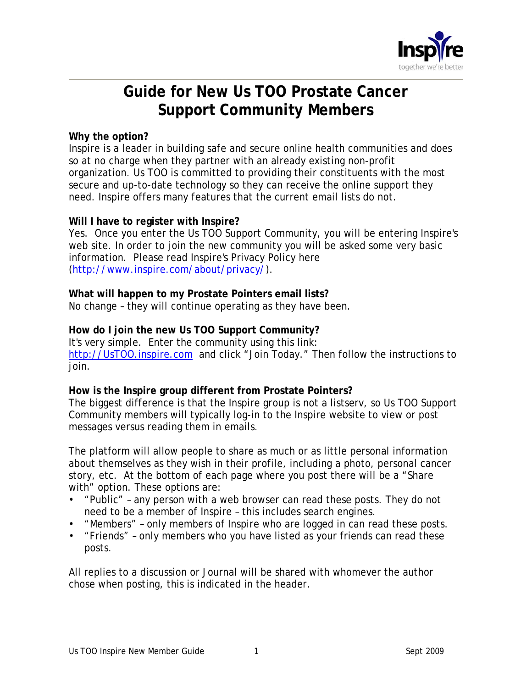

# **Guide for New Us TOO Prostate Cancer Support Community Members**

# **Why the option?**

Inspire is a leader in building safe and secure online health communities and does so at no charge when they partner with an already existing non-profit organization. Us TOO is committed to providing their constituents with the most secure and up-to-date technology so they can receive the online support they need. Inspire offers many features that the current email lists do not.

#### **Will I have to register with Inspire?**

Yes. Once you enter the Us TOO Support Community, you will be entering Inspire's web site. In order to join the new community you will be asked some very basic information. Please read Inspire's Privacy Policy here (http://www.inspire.com/about/privacy/).

#### **What will happen to my Prostate Pointers email lists?**

No change – they will continue operating as they have been.

# **How do I join the new Us TOO Support Community?**

It's very simple. Enter the community using this link:

http://UsTOO.inspire.com and click "Join Today." Then follow the instructions to join.

# **How is the Inspire group different from Prostate Pointers?**

The biggest difference is that the Inspire group is not a listserv, so Us TOO Support Community members will typically log-in to the Inspire website to view or post messages versus reading them in emails.

The platform will allow people to share as much or as little personal information about themselves as they wish in their profile, including a photo, personal cancer story, etc. At the bottom of each page where you post there will be a "Share with" option. These options are:

- "Public" any person with a web browser can read these posts. They do not need to be a member of Inspire – this includes search engines.
- "Members" only members of Inspire who are logged in can read these posts.
- "Friends" only members who you have listed as your friends can read these posts.

All replies to a discussion or Journal will be shared with whomever the author chose when posting, this is indicated in the header.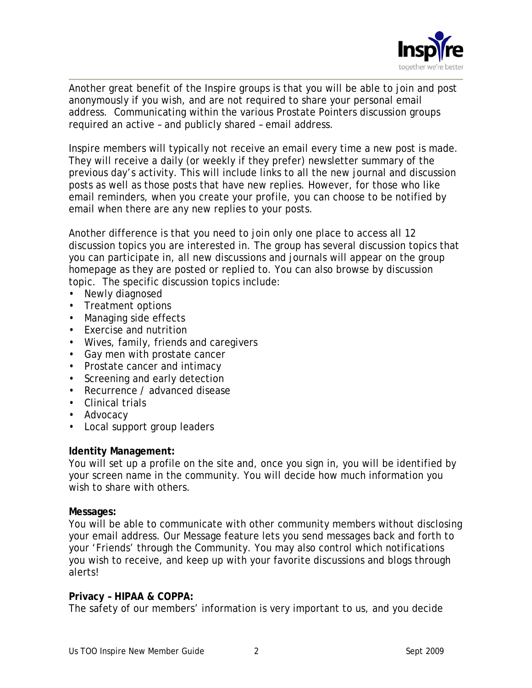

Another great benefit of the Inspire groups is that you will be able to join and post anonymously if you wish, and are not required to share your personal email address. Communicating within the various Prostate Pointers discussion groups required an active – and publicly shared – email address.

Inspire members will typically not receive an email every time a new post is made. They will receive a daily (or weekly if they prefer) newsletter summary of the previous day's activity. This will include links to all the new journal and discussion posts as well as those posts that have new replies. However, for those who like email reminders, when you create your profile, you can choose to be notified by email when there are any new replies to your posts.

Another difference is that you need to join only one place to access all 12 discussion topics you are interested in. The group has several discussion topics that you can participate in, all new discussions and journals will appear on the group homepage as they are posted or replied to. You can also browse by discussion topic. The specific discussion topics include:

- Newly diagnosed
- Treatment options
- Managing side effects
- Exercise and nutrition
- Wives, family, friends and caregivers
- Gay men with prostate cancer
- Prostate cancer and intimacy
- Screening and early detection
- Recurrence / advanced disease
- Clinical trials
- Advocacy
- Local support group leaders

# **Identity Management:**

You will set up a profile on the site and, once you sign in, you will be identified by your screen name in the community. You will decide how much information you wish to share with others.

# **Messages:**

You will be able to communicate with other community members without disclosing your email address. Our Message feature lets you send messages back and forth to your 'Friends' through the Community. You may also control which notifications you wish to receive, and keep up with your favorite discussions and blogs through alerts!

# **Privacy – HIPAA & COPPA:**

The safety of our members' information is very important to us, and you decide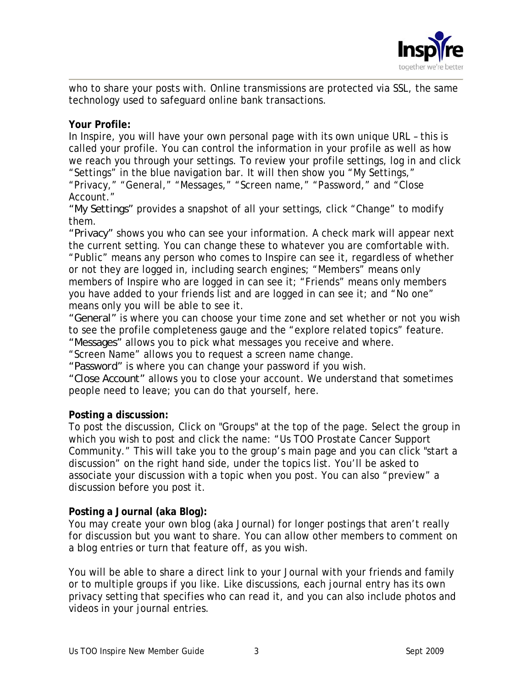

who to share your posts with. Online transmissions are protected via SSL, the same technology used to safeguard online bank transactions.

# **Your Profile:**

In Inspire, you will have your own personal page with its own unique URL – this is called your profile. You can control the information in your profile as well as how we reach you through your settings. To review your profile settings, log in and click "Settings" in the blue navigation bar. It will then show you "My Settings," "Privacy," "General," "Messages," "Screen name," "Password," and "Close Account."

*"My Settings"* provides a snapshot of all your settings, click "Change" to modify them.

*"Privacy"* shows you who can see your information. A check mark will appear next the current setting. You can change these to whatever you are comfortable with. "Public" means any person who comes to Inspire can see it, regardless of whether or not they are logged in, including search engines; "Members" means only members of Inspire who are logged in can see it; "Friends" means only members you have added to your friends list and are logged in can see it; and "No one" means only you will be able to see it.

*"General"* is where you can choose your time zone and set whether or not you wish to see the profile completeness gauge and the "explore related topics" feature. *"Messages"* allows you to pick what messages you receive and where.

"Screen Name" allows you to request a screen name change.

*"Password"* is where you can change your password if you wish.

*"Close Account"* allows you to close your account. We understand that sometimes people need to leave; you can do that yourself, here.

# **Posting a discussion:**

To post the discussion, Click on "Groups" at the top of the page. Select the group in which you wish to post and click the name: "Us TOO Prostate Cancer Support Community." This will take you to the group's main page and you can click "start a discussion" on the right hand side, under the topics list. You'll be asked to associate your discussion with a topic when you post. You can also "preview" a discussion before you post it.

# **Posting a Journal (aka Blog):**

You may create your own blog (aka Journal) for longer postings that aren't really for discussion but you want to share. You can allow other members to comment on a blog entries or turn that feature off, as you wish.

You will be able to share a direct link to your Journal with your friends and family or to multiple groups if you like. Like discussions, each journal entry has its own privacy setting that specifies who can read it, and you can also include photos and videos in your journal entries.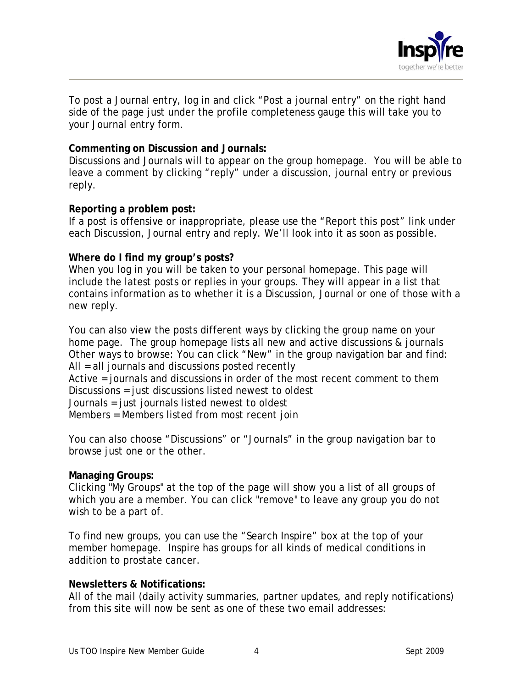

To post a Journal entry, log in and click "Post a journal entry" on the right hand side of the page just under the profile completeness gauge this will take you to your Journal entry form.

# **Commenting on Discussion and Journals:**

Discussions and Journals will to appear on the group homepage. You will be able to leave a comment by clicking "reply" under a discussion, journal entry or previous reply.

#### **Reporting a problem post:**

If a post is offensive or inappropriate, please use the "Report this post" link under each Discussion, Journal entry and reply. We'll look into it as soon as possible.

#### **Where do I find my group's posts?**

When you log in you will be taken to your personal homepage. This page will include the latest posts or replies in your groups. They will appear in a list that contains information as to whether it is a Discussion, Journal or one of those with a new reply.

You can also view the posts different ways by clicking the group name on your home page. The group homepage lists all new and active discussions & journals Other ways to browse: You can click "New" in the group navigation bar and find: All = all journals and discussions posted recently Active = journals and discussions in order of the most recent comment to them Discussions = just discussions listed newest to oldest Journals = just journals listed newest to oldest

Members = Members listed from most recent join

You can also choose "Discussions" or "Journals" in the group navigation bar to browse just one or the other.

# **Managing Groups:**

Clicking "My Groups" at the top of the page will show you a list of all groups of which you are a member. You can click "remove" to leave any group you do not wish to be a part of.

To find new groups, you can use the "Search Inspire" box at the top of your member homepage. Inspire has groups for all kinds of medical conditions in addition to prostate cancer.

# **Newsletters & Notifications:**

All of the mail (daily activity summaries, partner updates, and reply notifications) from this site will now be sent as one of these two email addresses: